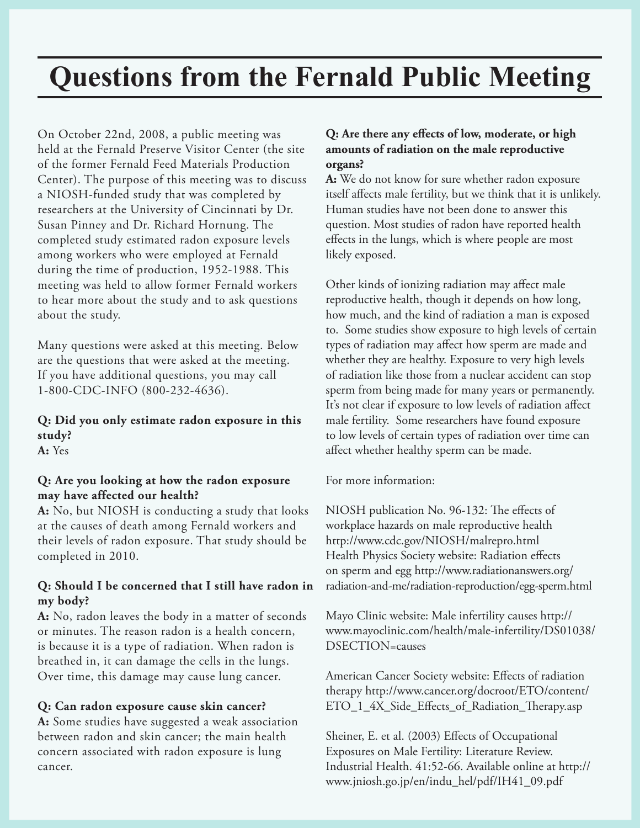# **Questions from the Fernald Public Meeting**

On October 22nd, 2008, a public meeting was held at the Fernald Preserve Visitor Center (the site of the former Fernald Feed Materials Production Center). The purpose of this meeting was to discuss a NIOSH-funded study that was completed by researchers at the University of Cincinnati by Dr. Susan Pinney and Dr. Richard Hornung. The completed study estimated radon exposure levels among workers who were employed at Fernald during the time of production, 1952-1988. This meeting was held to allow former Fernald workers to hear more about the study and to ask questions about the study.

Many questions were asked at this meeting. Below are the questions that were asked at the meeting. If you have additional questions, you may call 1-800-CDC-INFO (800-232-4636).

# **Q: Did you only estimate radon exposure in this study?**

**A:** Yes

#### **Q: Are you looking at how the radon exposure may have affected our health?**

**A:** No, but NIOSH is conducting a study that looks at the causes of death among Fernald workers and their levels of radon exposure. That study should be completed in 2010.

#### **Q: Should I be concerned that I still have radon in my body?**

**A:** No, radon leaves the body in a matter of seconds or minutes. The reason radon is a health concern, is because it is a type of radiation. When radon is breathed in, it can damage the cells in the lungs. Over time, this damage may cause lung cancer.

#### **Q: Can radon exposure cause skin cancer?**

**A:** Some studies have suggested a weak association between radon and skin cancer; the main health concern associated with radon exposure is lung cancer.

### **Q: Are there any effects of low, moderate, or high amounts of radiation on the male reproductive organs?**

**A:** We do not know for sure whether radon exposure itself affects male fertility, but we think that it is unlikely. Human studies have not been done to answer this question. Most studies of radon have reported health effects in the lungs, which is where people are most likely exposed.

Other kinds of ionizing radiation may affect male reproductive health, though it depends on how long, how much, and the kind of radiation a man is exposed to. Some studies show exposure to high levels of certain types of radiation may affect how sperm are made and whether they are healthy. Exposure to very high levels of radiation like those from a nuclear accident can stop sperm from being made for many years or permanently. It's not clear if exposure to low levels of radiation affect male fertility. Some researchers have found exposure to low levels of certain types of radiation over time can affect whether healthy sperm can be made.

For more information:

NIOSH publication No. 96-132: The effects of workplace hazards on male reproductive health http://www.cdc.gov/NIOSH/malrepro.html Health Physics Society website: Radiation effects on sperm and egg http://www.radiationanswers.org/ radiation-and-me/radiation-reproduction/egg-sperm.html

Mayo Clinic website: Male infertility causes http:// www.mayoclinic.com/health/male-infertility/DS01038/ DSECTION=causes

American Cancer Society website: Effects of radiation therapy http://www.cancer.org/docroot/ETO/content/ ETO\_1\_4X\_Side\_Effects\_of\_Radiation\_Therapy.asp

Sheiner, E. et al. (2003) Effects of Occupational Exposures on Male Fertility: Literature Review. Industrial Health. 41:52-66. Available online at http:// www.jniosh.go.jp/en/indu\_hel/pdf/IH41\_09.pdf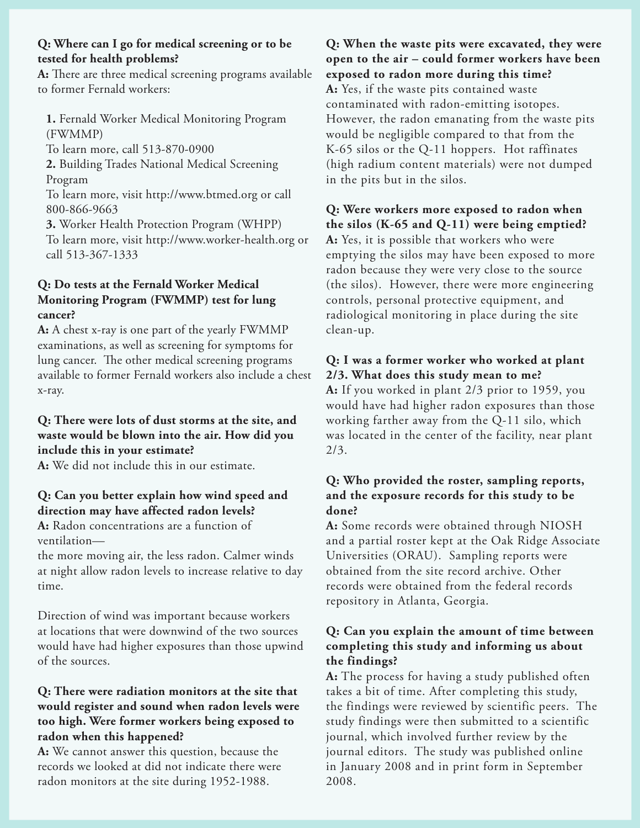#### **Q: Where can I go for medical screening or to be tested for health problems?**

**A:** There are three medical screening programs available to former Fernald workers:

**1.** Fernald Worker Medical Monitoring Program (FWMMP)

To learn more, call 513-870-0900

**2.** Building Trades National Medical Screening Program

To learn more, visit http://www.btmed.org or call 800-866-9663

**3.** Worker Health Protection Program (WHPP) To learn more, visit http://www.worker-health.org or call 513-367-1333

# **Q: Do tests at the Fernald Worker Medical Monitoring Program (FWMMP) test for lung cancer?**

**A:** A chest x-ray is one part of the yearly FWMMP examinations, as well as screening for symptoms for lung cancer. The other medical screening programs available to former Fernald workers also include a chest x-ray.

## **Q: There were lots of dust storms at the site, and waste would be blown into the air. How did you include this in your estimate?**

**A:** We did not include this in our estimate.

# **Q: Can you better explain how wind speed and direction may have affected radon levels?**

**A:** Radon concentrations are a function of ventilation—

the more moving air, the less radon. Calmer winds at night allow radon levels to increase relative to day time.

Direction of wind was important because workers at locations that were downwind of the two sources would have had higher exposures than those upwind of the sources.

# **Q: There were radiation monitors at the site that would register and sound when radon levels were too high. Were former workers being exposed to radon when this happened?**

**A:** We cannot answer this question, because the records we looked at did not indicate there were radon monitors at the site during 1952-1988.

**Q: When the waste pits were excavated, they were open to the air – could former workers have been exposed to radon more during this time? A:** Yes, if the waste pits contained waste contaminated with radon-emitting isotopes. However, the radon emanating from the waste pits would be negligible compared to that from the K-65 silos or the Q-11 hoppers. Hot raffinates (high radium content materials) were not dumped in the pits but in the silos.

# **Q: Were workers more exposed to radon when the silos (K-65 and Q-11) were being emptied? A:** Yes, it is possible that workers who were emptying the silos may have been exposed to more radon because they were very close to the source (the silos). However, there were more engineering controls, personal protective equipment, and

radiological monitoring in place during the site clean-up.

# **Q: I was a former worker who worked at plant 2/3. What does this study mean to me?**

**A:** If you worked in plant 2/3 prior to 1959, you would have had higher radon exposures than those working farther away from the Q-11 silo, which was located in the center of the facility, near plant 2/3.

## **Q: Who provided the roster, sampling reports, and the exposure records for this study to be done?**

**A:** Some records were obtained through NIOSH and a partial roster kept at the Oak Ridge Associate Universities (ORAU). Sampling reports were obtained from the site record archive. Other records were obtained from the federal records repository in Atlanta, Georgia.

# **Q: Can you explain the amount of time between completing this study and informing us about the findings?**

**A:** The process for having a study published often takes a bit of time. After completing this study, the findings were reviewed by scientific peers. The study findings were then submitted to a scientific journal, which involved further review by the journal editors. The study was published online in January 2008 and in print form in September 2008.